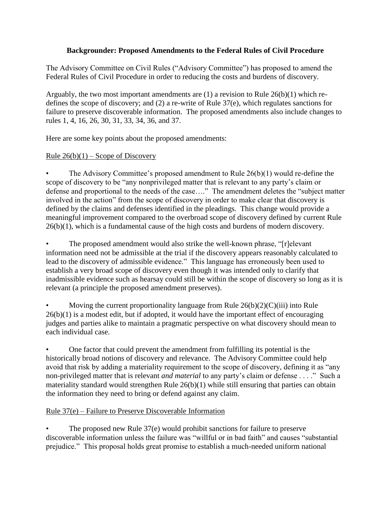## **Backgrounder: Proposed Amendments to the Federal Rules of Civil Procedure**

The Advisory Committee on Civil Rules ("Advisory Committee") has proposed to amend the Federal Rules of Civil Procedure in order to reducing the costs and burdens of discovery.

Arguably, the two most important amendments are (1) a revision to Rule 26(b)(1) which redefines the scope of discovery; and (2) a re-write of Rule 37(e), which regulates sanctions for failure to preserve discoverable information. The proposed amendments also include changes to rules 1, 4, 16, 26, 30, 31, 33, 34, 36, and 37.

Here are some key points about the proposed amendments:

## Rule  $26(b)(1)$  – Scope of Discovery

The Advisory Committee's proposed amendment to Rule  $26(b)(1)$  would re-define the scope of discovery to be "any nonprivileged matter that is relevant to any party's claim or defense and proportional to the needs of the case…." The amendment deletes the "subject matter involved in the action" from the scope of discovery in order to make clear that discovery is defined by the claims and defenses identified in the pleadings. This change would provide a meaningful improvement compared to the overbroad scope of discovery defined by current Rule 26(b)(1), which is a fundamental cause of the high costs and burdens of modern discovery.

The proposed amendment would also strike the well-known phrase, "[r]elevant information need not be admissible at the trial if the discovery appears reasonably calculated to lead to the discovery of admissible evidence." This language has erroneously been used to establish a very broad scope of discovery even though it was intended only to clarify that inadmissible evidence such as hearsay could still be within the scope of discovery so long as it is relevant (a principle the proposed amendment preserves).

Moving the current proportionality language from Rule  $26(b)(2)(C)(iii)$  into Rule  $26(b)(1)$  is a modest edit, but if adopted, it would have the important effect of encouraging judges and parties alike to maintain a pragmatic perspective on what discovery should mean to each individual case.

• One factor that could prevent the amendment from fulfilling its potential is the historically broad notions of discovery and relevance. The Advisory Committee could help avoid that risk by adding a materiality requirement to the scope of discovery, defining it as "any non-privileged matter that is relevant *and material* to any party's claim or defense . . . ." Such a materiality standard would strengthen Rule 26(b)(1) while still ensuring that parties can obtain the information they need to bring or defend against any claim.

## Rule 37(e) – Failure to Preserve Discoverable Information

The proposed new Rule 37(e) would prohibit sanctions for failure to preserve discoverable information unless the failure was "willful or in bad faith" and causes "substantial prejudice." This proposal holds great promise to establish a much-needed uniform national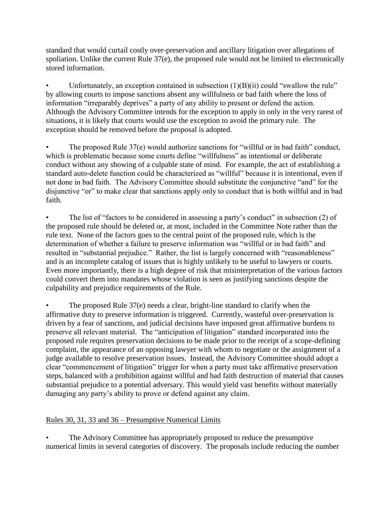standard that would curtail costly over-preservation and ancillary litigation over allegations of spoliation. Unlike the current Rule 37(e), the proposed rule would not be limited to electronically stored information.

Unfortunately, an exception contained in subsection  $(1)(B)(ii)$  could "swallow the rule" by allowing courts to impose sanctions absent any willfulness or bad faith where the loss of information "irreparably deprives" a party of any ability to present or defend the action. Although the Advisory Committee intends for the exception to apply in only in the very rarest of situations, it is likely that courts would use the exception to avoid the primary rule. The exception should be removed before the proposal is adopted.

• The proposed Rule 37(e) would authorize sanctions for "willful or in bad faith" conduct, which is problematic because some courts define "willfulness" as intentional or deliberate conduct without any showing of a culpable state of mind. For example, the act of establishing a standard auto-delete function could be characterized as "willful" because it is intentional, even if not done in bad faith. The Advisory Committee should substitute the conjunctive "and" for the disjunctive "or" to make clear that sanctions apply only to conduct that is both willful and in bad faith.

The list of "factors to be considered in assessing a party's conduct" in subsection (2) of the proposed rule should be deleted or, at most, included in the Committee Note rather than the rule text. None of the factors goes to the central point of the proposed rule, which is the determination of whether a failure to preserve information was "willful or in bad faith" and resulted in "substantial prejudice." Rather, the list is largely concerned with "reasonableness" and is an incomplete catalog of issues that is highly unlikely to be useful to lawyers or courts. Even more importantly, there is a high degree of risk that misinterpretation of the various factors could convert them into mandates whose violation is seen as justifying sanctions despite the culpability and prejudice requirements of the Rule.

• The proposed Rule 37(e) needs a clear, bright-line standard to clarify when the affirmative duty to preserve information is triggered. Currently, wasteful over-preservation is driven by a fear of sanctions, and judicial decisions have imposed great affirmative burdens to preserve all relevant material. The "anticipation of litigation" standard incorporated into the proposed rule requires preservation decisions to be made prior to the receipt of a scope-defining complaint, the appearance of an opposing lawyer with whom to negotiate or the assignment of a judge available to resolve preservation issues. Instead, the Advisory Committee should adopt a clear "commencement of litigation" trigger for when a party must take affirmative preservation steps, balanced with a prohibition against willful and bad faith destruction of material that causes substantial prejudice to a potential adversary. This would yield vast benefits without materially damaging any party's ability to prove or defend against any claim.

## Rules 30, 31, 33 and 36 – Presumptive Numerical Limits

The Advisory Committee has appropriately proposed to reduce the presumptive numerical limits in several categories of discovery. The proposals include reducing the number